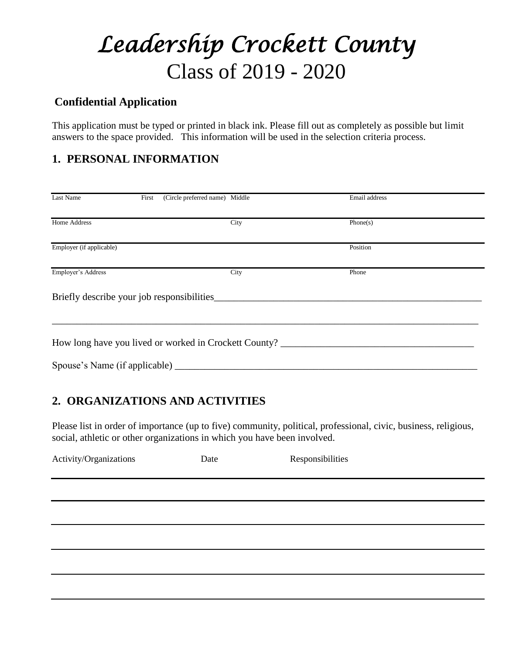# *Leadership Crockett County*  Class of 2019 - 2020

#### **Confidential Application**

This application must be typed or printed in black ink. Please fill out as completely as possible but limit answers to the space provided. This information will be used in the selection criteria process.

### **1. PERSONAL INFORMATION**

| Last Name                     | First | (Circle preferred name) Middle             |      | Email address                                                                    |
|-------------------------------|-------|--------------------------------------------|------|----------------------------------------------------------------------------------|
| Home Address                  |       |                                            | City | Phone(s)                                                                         |
|                               |       |                                            |      |                                                                                  |
| Employer (if applicable)      |       |                                            |      | Position                                                                         |
| Employer's Address            |       |                                            | City | Phone                                                                            |
|                               |       | Briefly describe your job responsibilities |      |                                                                                  |
|                               |       |                                            |      |                                                                                  |
|                               |       |                                            |      | How long have you lived or worked in Crockett County? __________________________ |
| Spouse's Name (if applicable) |       |                                            |      |                                                                                  |

## **2. ORGANIZATIONS AND ACTIVITIES**

Please list in order of importance (up to five) community, political, professional, civic, business, religious, social, athletic or other organizations in which you have been involved.

| Activity/Organizations | Date | Responsibilities |
|------------------------|------|------------------|
|                        |      |                  |
|                        |      |                  |
|                        |      |                  |
|                        |      |                  |
|                        |      |                  |